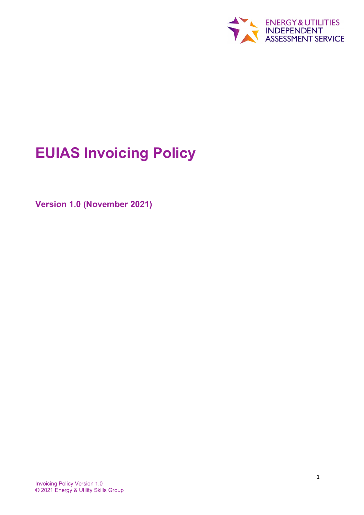

# **EUIAS Invoicing Policy**

**Version 1.0 (November 2021)**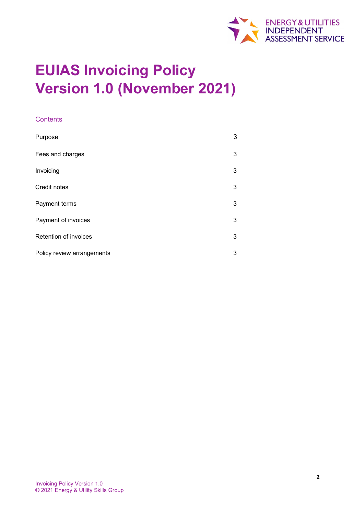

# **EUIAS Invoicing Policy Version 1.0 (November 2021)**

## **Contents**

| Purpose                    | 3 |
|----------------------------|---|
| Fees and charges           | 3 |
| Invoicing                  | 3 |
| Credit notes               | 3 |
| Payment terms              | 3 |
| Payment of invoices        | 3 |
| Retention of invoices      | 3 |
| Policy review arrangements | 3 |